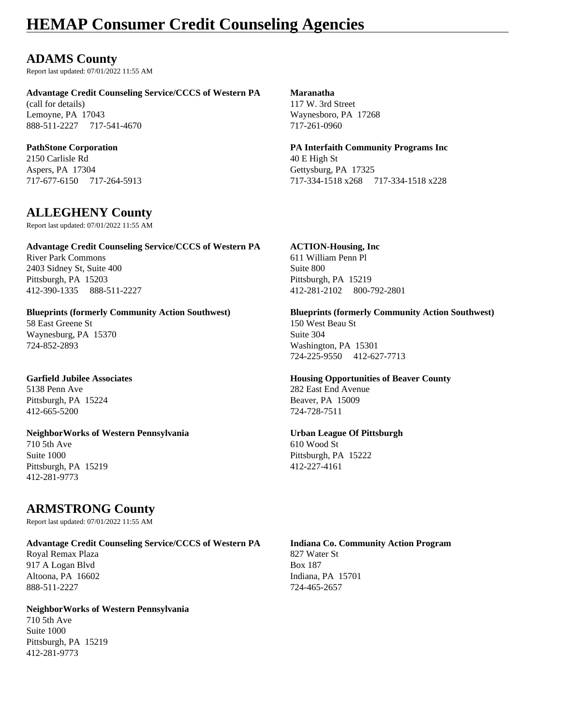### **ADAMS County**

Report last updated: 07/01/2022 11:55 AM

#### **Advantage Credit Counseling Service/CCCS of Western PA Maranatha**

(call for details) 117 W. 3rd Street Lemoyne, PA 17043 Waynesboro, PA 17268 888-511-2227 717-541-4670 717-261-0960

2150 Carlisle Rd 40 E High St Aspers, PA 17304 Gettysburg, PA 17325

### **ALLEGHENY County**

Report last updated: 07/01/2022 11:55 AM

#### **Advantage Credit Counseling Service/CCCS of Western PA ACTION-Housing, Inc**

River Park Commons 611 William Penn Pl 2403 Sidney St, Suite 400 Suite 800 Pittsburgh, PA 15203 Pittsburgh, PA 15219 412-390-1335 888-511-2227 412-281-2102 800-792-2801

58 East Greene St 150 West Beau St Waynesburg, PA 15370 Suite 304 724-852-2893 Washington, PA 15301

### 5138 Penn Ave 282 East End Avenue Pittsburgh, PA 15224 Beaver, PA 15009 412-665-5200 724-728-7511

#### **NeighborWorks of Western Pennsylvania Urban League Of Pittsburgh** 710 5th Ave 610 Wood St Suite 1000 Pittsburgh, PA 15222 Pittsburgh, PA 15219 412-227-4161 412-281-9773

### **ARMSTRONG County**

Report last updated: 07/01/2022 11:55 AM

#### **Advantage Credit Counseling Service/CCCS of Western PA Indiana Co. Community Action Program**

Royal Remax Plaza 827 Water St 917 A Logan Blvd Box 187 Altoona, PA 16602 Indiana, PA 15701 888-511-2227 724-465-2657

### **NeighborWorks of Western Pennsylvania**

710 5th Ave Suite 1000 Pittsburgh, PA 15219 412-281-9773

**PathStone Corporation PA Interfaith Community Programs Inc** 717-677-6150 717-264-5913 717-334-1518 x268 717-334-1518 x228

#### **Blueprints (formerly Community Action Southwest) Blueprints (formerly Community Action Southwest)**

724-225-9550 412-627-7713

#### **Garfield Jubilee Associates Housing Opportunities of Beaver County**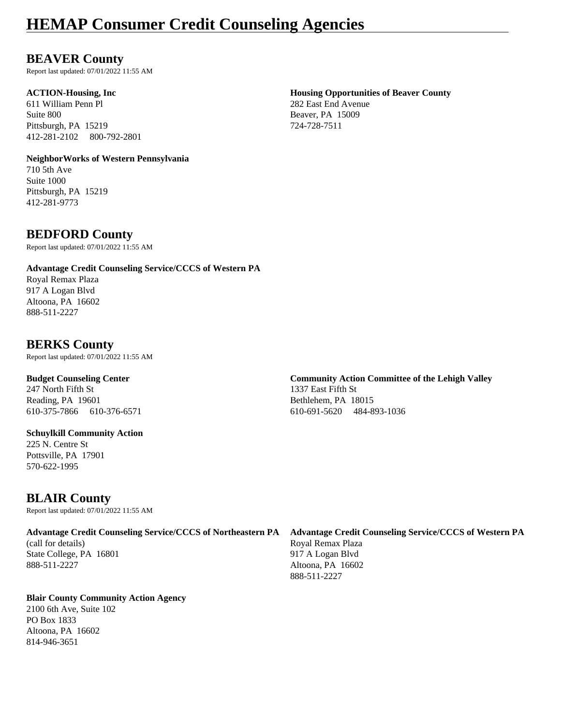### **BEAVER County**

Report last updated: 07/01/2022 11:55 AM

611 William Penn Pl 282 East End Avenue Suite 800 Beaver, PA 15009 Pittsburgh, PA 15219 724-728-7511 412-281-2102 800-792-2801

#### **NeighborWorks of Western Pennsylvania**

710 5th Ave Suite 1000 Pittsburgh, PA 15219 412-281-9773

### **BEDFORD County**

Report last updated: 07/01/2022 11:55 AM

#### **Advantage Credit Counseling Service/CCCS of Western PA**

Royal Remax Plaza 917 A Logan Blvd Altoona, PA 16602 888-511-2227

### **BERKS County**

Report last updated: 07/01/2022 11:55 AM

247 North Fifth St 1337 East Fifth St Reading, PA 19601 Bethlehem, PA 18015

#### **Schuylkill Community Action**

225 N. Centre St Pottsville, PA 17901 570-622-1995

### **BLAIR County**

Report last updated: 07/01/2022 11:55 AM

### **Advantage Credit Counseling Service/CCCS of Northeastern PA Advantage Credit Counseling Service/CCCS of Western PA**

(call for details) Royal Remax Plaza State College, PA 16801 917 A Logan Blvd 888-511-2227 Altoona, PA 16602

#### **Blair County Community Action Agency**

2100 6th Ave, Suite 102 PO Box 1833 Altoona, PA 16602 814-946-3651

# **ACTION-Housing, Inc Housing Opportunities of Beaver County**

## **Budget Counseling Center Community Action Committee of the Lehigh Valley**

610-375-7866 610-376-6571 610-691-5620 484-893-1036

888-511-2227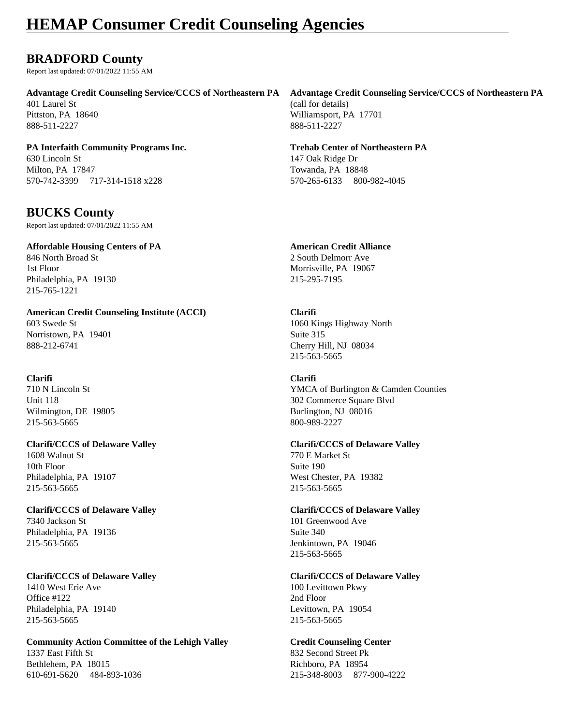### **BRADFORD County**

Report last updated: 07/01/2022 11:55 AM

401 Laurel St (call for details)

888-511-2227 888-511-2227

**PA Interfaith Community Programs Inc. Trehab Center of Northeastern PA** 630 Lincoln St 147 Oak Ridge Dr Milton, PA 17847 Towanda, PA 18848 570-742-3399 717-314-1518 x228 570-265-6133 800-982-4045

### **BUCKS County**

Report last updated: 07/01/2022 11:55 AM

**Affordable Housing Centers of PA American Credit Alliance** 846 North Broad St 2 South Delmorr Ave 1st Floor Morrisville, PA 19067 Philadelphia, PA 19130 215-295-7195 215-765-1221

**American Credit Counseling Institute (ACCI) Clarifi** 603 Swede St 1060 Kings Highway North Norristown, PA 19401 Suite 315 888-212-6741 Cherry Hill, NJ 08034

**Clarifi Clarifi** Wilmington, DE 19805 Burlington, NJ 08016 215-563-5665 800-989-2227

**Clarifi/CCCS of Delaware Valley Clarifi/CCCS of Delaware Valley** 1608 Walnut St 770 E Market St 10th Floor Suite 190 Philadelphia, PA 19107 West Chester, PA 19382 215-563-5665 215-563-5665

**Clarifi/CCCS of Delaware Valley Clarifi/CCCS of Delaware Valley** 7340 Jackson St 101 Greenwood Ave Philadelphia, PA 19136 Suite 340 215-563-5665 Jenkintown, PA 19046

**Clarifi/CCCS of Delaware Valley Clarifi/CCCS of Delaware Valley** 1410 West Erie Ave 100 Levittown Pkwy Office #122 2nd Floor Philadelphia, PA 19140 Levittown, PA 19054 215-563-5665 215-563-5665

**Community Action Committee of the Lehigh Valley Credit Counseling Center** 1337 East Fifth St 832 Second Street Pk Bethlehem, PA 18015 Richboro, PA 18954 610-691-5620 484-893-1036 215-348-8003 877-900-4222

### **Advantage Credit Counseling Service/CCCS of Northeastern PA Advantage Credit Counseling Service/CCCS of Northeastern PA**

Pittston, PA 18640 Williamsport, PA 17701

215-563-5665

710 N Lincoln St YMCA of Burlington & Camden Counties Unit 118 302 Commerce Square Blvd

215-563-5665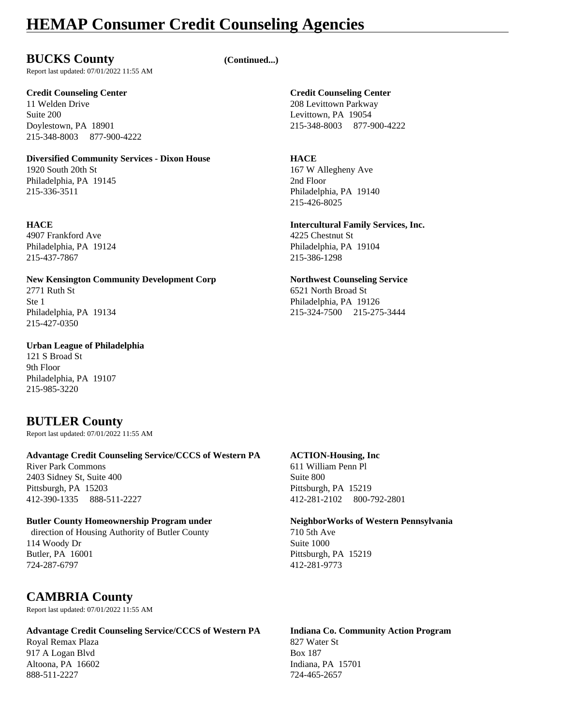### **BUCKS County (Continued...)**

Report last updated: 07/01/2022 11:55 AM

11 Welden Drive 208 Levittown Parkway Suite 200 Levittown, PA 19054 215-348-8003 877-900-4222

#### **Diversified Community Services - Dixon House HACE**

1920 South 20th St 167 W Allegheny Ave Philadelphia, PA 19145 2nd Floor 215-336-3511 Philadelphia, PA 19140

4907 Frankford Ave 4225 Chestnut St 215-437-7867 215-386-1298

### **New Kensington Community Development Corp Northwest Counseling Service**

2771 Ruth St 6521 North Broad St 215-427-0350

#### **Urban League of Philadelphia**

121 S Broad St 9th Floor Philadelphia, PA 19107 215-985-3220

### **BUTLER County**

Report last updated: 07/01/2022 11:55 AM

#### **Advantage Credit Counseling Service/CCCS of Western PA ACTION-Housing, Inc**

River Park Commons 611 William Penn Pl 2403 Sidney St, Suite 400 Suite 800 Pittsburgh, PA 15203 Pittsburgh, PA 15219 412-390-1335 888-511-2227 412-281-2102 800-792-2801

#### **Butler County Homeownership Program under NeighborWorks of Western Pennsylvania**

direction of Housing Authority of Butler County 710 5th Ave 114 Woody Dr Suite 1000 Butler, PA 16001 Pittsburgh, PA 15219 724-287-6797 412-281-9773

### **CAMBRIA County**

Report last updated: 07/01/2022 11:55 AM

#### **Advantage Credit Counseling Service/CCCS of Western PA Indiana Co. Community Action Program**

Royal Remax Plaza **827 Water St** 917 A Logan Blvd Box 187 Altoona, PA 16602 Indiana, PA 15701 888-511-2227 724-465-2657

### **Credit Counseling Center Credit Counseling Center**

Doylestown, PA 18901 215-348-8003 877-900-4222

215-426-8025

### **HACE Intercultural Family Services, Inc.**

Philadelphia, PA 19124 Philadelphia, PA 19104

Ste 1 Philadelphia, PA 19126 Philadelphia, PA 19134 215-324-7500 215-275-3444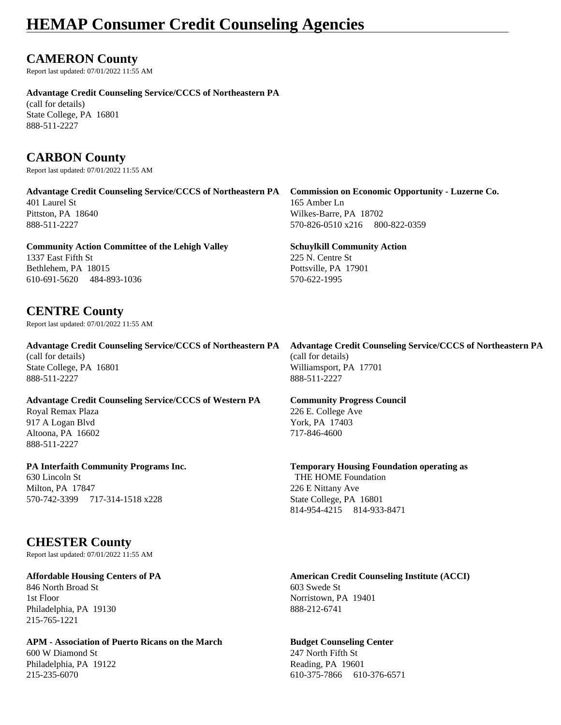### **CAMERON County**

Report last updated: 07/01/2022 11:55 AM

#### **Advantage Credit Counseling Service/CCCS of Northeastern PA**

(call for details) State College, PA 16801 888-511-2227

### **CARBON County**

Report last updated: 07/01/2022 11:55 AM

**Advantage Credit Counseling Service/CCCS of Northeastern PA Commission on Economic Opportunity - Luzerne Co.** 401 Laurel St 165 Amber Ln Pittston, PA 18640 Wilkes-Barre, PA 18702 888-511-2227 570-826-0510 x216 800-822-0359

**Community Action Committee of the Lehigh Valley Schuylkill Community Action** 1337 East Fifth St 225 N. Centre St Bethlehem, PA 18015 Pottsville, PA 17901 610-691-5620 484-893-1036 570-622-1995

### **CENTRE County**

Report last updated: 07/01/2022 11:55 AM

(call for details) (call for details) State College, PA 16801 Williamsport, PA 17701<br>888-511-2227 888-511-2227

**Advantage Credit Counseling Service/CCCS of Western PA Community Progress Council** Royal Remax Plaza 226 E. College Ave 917 A Logan Blvd York, PA 17403 Altoona, PA 16602 717-846-4600 888-511-2227

630 Lincoln St THE HOME Foundation Milton, PA 17847 226 E Nittany Ave 570-742-3399 717-314-1518 x228 State College, PA 16801

### **CHESTER County**

Report last updated: 07/01/2022 11:55 AM

846 North Broad St 603 Swede St 1st Floor Norristown, PA 19401 Philadelphia, PA 19130 888-212-6741 215-765-1221

#### **APM - Association of Puerto Ricans on the March Budget Counseling Center**

600 W Diamond St 247 North Fifth St Philadelphia, PA 19122 Reading, PA 19601

**Advantage Credit Counseling Service/CCCS of Northeastern PA Advantage Credit Counseling Service/CCCS of Northeastern PA** 888-511-2227 888-511-2227

**PA Interfaith Community Programs Inc. Temporary Housing Foundation operating as**

814-954-4215 814-933-8471

**Affordable Housing Centers of PA American Credit Counseling Institute (ACCI)**

215-235-6070 610-375-7866 610-376-6571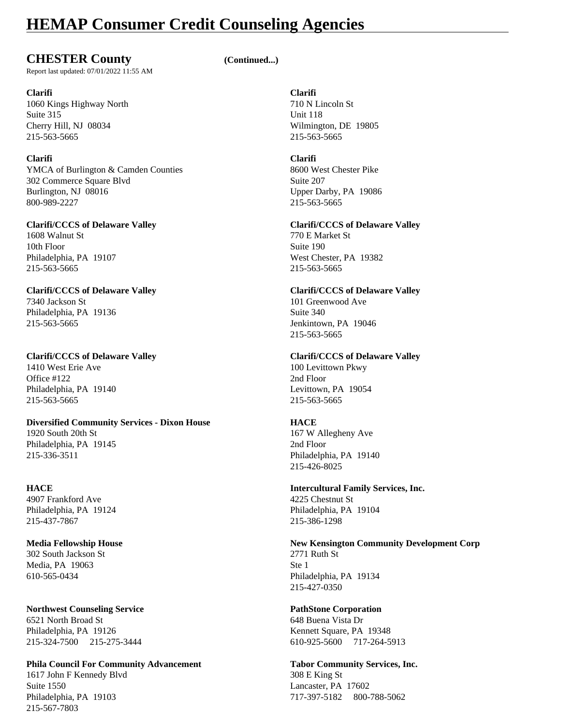### **CHESTER County (Continued...)**

Report last updated: 07/01/2022 11:55 AM

#### **Clarifi Clarifi** 1060 Kings Highway North 710 N Lincoln St Suite 315 Unit 118 Cherry Hill, NJ 08034 Wilmington, DE 19805 215-563-5665 215-563-5665

**Clarifi Clarifi** YMCA of Burlington & Camden Counties 8600 West Chester Pike 302 Commerce Square Blvd<br>Burlington, NJ 08016 Upper Da 800-989-2227 215-563-5665

1608 Walnut St 770 E Market St 10th Floor Suite 190 Philadelphia, PA 19107 West Chester, PA 19382 215-563-5665 215-563-5665

#### **Clarifi/CCCS of Delaware Valley Clarifi/CCCS of Delaware Valley** 7340 Jackson St 101 Greenwood Ave Philadelphia, PA 19136 Suite 340

215-563-5665 Jenkintown, PA 19046

1410 West Erie Ave 100 Levittown Pkwy Office #122 2nd Floor Philadelphia, PA 19140 Levittown, PA 19054 215-563-5665 215-563-5665

### **Diversified Community Services - Dixon House HACE**

Philadelphia, PA 19145 2nd Floor 215-336-3511 Philadelphia, PA 19140

4907 Frankford Ave 4225 Chestnut St Philadelphia, PA 19124 Philadelphia, PA 19104 215-437-7867 215-386-1298

## 302 South Jackson St 2771 Ruth St Media, PA 19063 Ste 1

**Northwest Counseling Service PathStone Corporation** 6521 North Broad St 648 Buena Vista Dr Philadelphia, PA 19126 Kennett Square, PA 19348 215-324-7500 215-275-3444 610-925-5600 717-264-5913

#### **Phila Council For Community Advancement Tabor Community Services, Inc.** 1617 John F Kennedy Blvd 308 E King St Suite 1550 Lancaster, PA 17602 Philadelphia, PA 19103 717-397-5182 800-788-5062 215-567-7803

Upper Darby, PA 19086

#### **Clarifi/CCCS of Delaware Valley Clarifi/CCCS of Delaware Valley**

215-563-5665

#### **Clarifi/CCCS of Delaware Valley Clarifi/CCCS of Delaware Valley**

1920 South 20th St 167 W Allegheny Ave 215-426-8025

### **HACE Intercultural Family Services, Inc.**

### **Media Fellowship House New Kensington Community Development Corp**

610-565-0434 Philadelphia, PA 19134 215-427-0350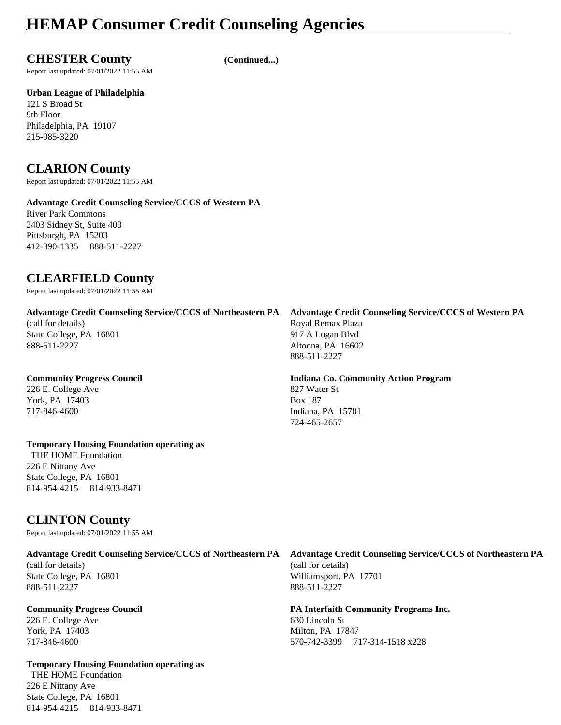**CHESTER County (Continued...)**

Report last updated: 07/01/2022 11:55 AM

**Urban League of Philadelphia**

121 S Broad St 9th Floor Philadelphia, PA 19107 215-985-3220

### **CLARION County**

Report last updated: 07/01/2022 11:55 AM

#### **Advantage Credit Counseling Service/CCCS of Western PA**

River Park Commons 2403 Sidney St, Suite 400 Pittsburgh, PA 15203 412-390-1335 888-511-2227

### **CLEARFIELD County**

Report last updated: 07/01/2022 11:55 AM

**Advantage Credit Counseling Service/CCCS of Northeastern PA Advantage Credit Counseling Service/CCCS of Western PA** (call for details) Royal Remax Plaza State College, PA 16801 917 A Logan Blvd 888-511-2227 Altoona, PA 16602

226 E. College Ave 827 Water St York, PA 17403 Box 187 717-846-4600 Indiana, PA 15701

### **Temporary Housing Foundation operating as**

 THE HOME Foundation 226 E Nittany Ave State College, PA 16801 814-954-4215 814-933-8471

# 888-511-2227

# **Community Progress Council Indiana Co. Community Action Program**

724-465-2657

**CLINTON County** Report last updated: 07/01/2022 11:55 AM

(call for details) (call for details) State College, PA 16801 Williamsport, PA 17701

888-511-2227 888-511-2227

226 E. College Ave 630 Lincoln St York, PA 17403 Milton, PA 17847

**Temporary Housing Foundation operating as** THE HOME Foundation 226 E Nittany Ave State College, PA 16801 814-954-4215 814-933-8471

**Advantage Credit Counseling Service/CCCS of Northeastern PA Advantage Credit Counseling Service/CCCS of Northeastern PA**

**Community Progress Council PA Interfaith Community Programs Inc.** 717-846-4600 570-742-3399 717-314-1518 x228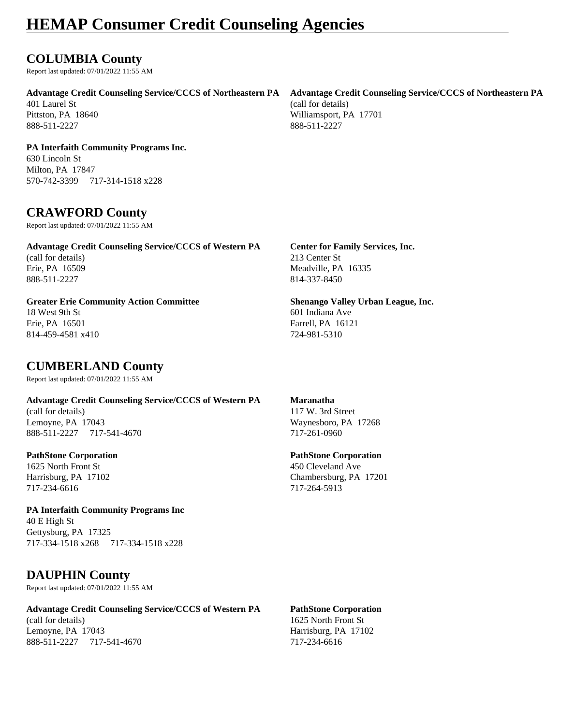### **COLUMBIA County**

Report last updated: 07/01/2022 11:55 AM

**Advantage Credit Counseling Service/CCCS of Northeastern PA Advantage Credit Counseling Service/CCCS of Northeastern PA**

401 Laurel St (call for details) 888-511-2227 888-511-2227

**PA Interfaith Community Programs Inc.** 630 Lincoln St Milton, PA 17847

570-742-3399 717-314-1518 x228

### **CRAWFORD County**

Report last updated: 07/01/2022 11:55 AM

**Advantage Credit Counseling Service/CCCS of Western PA Center for Family Services, Inc.** (call for details) 213 Center St Erie, PA 16509 Meadville, PA 16335 888-511-2227 814-337-8450

#### **Greater Erie Community Action Committee Shenango Valley Urban League, Inc.** 18 West 9th St 601 Indiana Ave Erie, PA 16501 Farrell, PA 16121

814-459-4581 x410 724-981-5310

### **CUMBERLAND County**

Report last updated: 07/01/2022 11:55 AM

**Advantage Credit Counseling Service/CCCS of Western PA Maranatha** (call for details) 117 W. 3rd Street Lemoyne, PA 17043 Waynesboro, PA 17268 888-511-2227 717-541-4670 717-261-0960

1625 North Front St 450 Cleveland Ave 717-234-6616 717-264-5913

**PA Interfaith Community Programs Inc** 40 E High St Gettysburg, PA 17325 717-334-1518 x268 717-334-1518 x228

### **DAUPHIN County**

Report last updated: 07/01/2022 11:55 AM

**Advantage Credit Counseling Service/CCCS of Western PA PathStone Corporation** (call for details) 1625 North Front St Lemoyne, PA 17043 Harrisburg, PA 17102

#### **PathStone Corporation PathStone Corporation**

Harrisburg, PA 17102 Chambersburg, PA 17201

888-511-2227 717-541-4670 717-234-6616

Pittston, PA 18640 Williamsport, PA 17701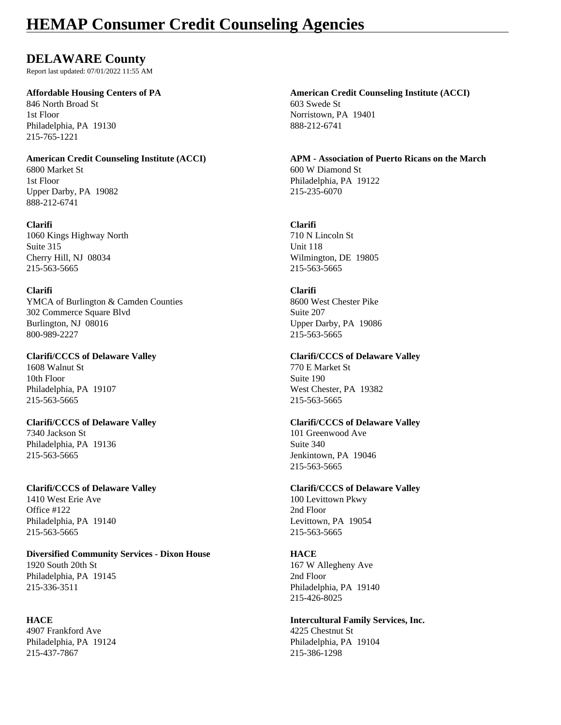### **DELAWARE County**

Report last updated: 07/01/2022 11:55 AM

846 North Broad St 603 Swede St 1st Floor Norristown, PA 19401 Philadelphia, PA 19130 888-212-6741 215-765-1221

6800 Market St 600 W Diamond St 1st Floor Philadelphia, PA 19122 Upper Darby, PA 19082 215-235-6070 888-212-6741

#### **Clarifi Clarifi**

1060 Kings Highway North 710 N Lincoln St Suite 315 Unit 118 Cherry Hill, NJ 08034 Wilmington, DE 19805 215-563-5665 215-563-5665

#### **Clarifi Clarifi**

YMCA of Burlington & Camden Counties 8600 West Chester Pike 302 Commerce Square Blvd Suite 207 Burlington, NJ 08016 Upper Darby, PA 19086 800-989-2227 215-563-5665

1608 Walnut St 770 E Market St 10th Floor Suite 190 Philadelphia, PA 19107 West Chester, PA 19382 215-563-5665 215-563-5665

7340 Jackson St 101 Greenwood Ave Philadelphia, PA 19136 Suite 340 215-563-5665 Jenkintown, PA 19046

Office #122 2nd Floor Philadelphia, PA 19140 Levittown, PA 19054 215-563-5665 215-563-5665

#### **Diversified Community Services - Dixon House HACE** 1920 South 20th St 167 W Allegheny Ave Philadelphia, PA 19145 2nd Floor 215-336-3511 Philadelphia, PA 19140

4907 Frankford Ave 4225 Chestnut St Philadelphia, PA 19124 Philadelphia, PA 19104 215-437-7867 215-386-1298

**Affordable Housing Centers of PA American Credit Counseling Institute (ACCI)**

**American Credit Counseling Institute (ACCI) APM - Association of Puerto Ricans on the March**

### **Clarifi/CCCS of Delaware Valley Clarifi/CCCS of Delaware Valley**

#### **Clarifi/CCCS of Delaware Valley Clarifi/CCCS of Delaware Valley**

215-563-5665

#### **Clarifi/CCCS of Delaware Valley Clarifi/CCCS of Delaware Valley**

1410 West Erie Ave 100 Levittown Pkwy

215-426-8025

## **HACE Intercultural Family Services, Inc.**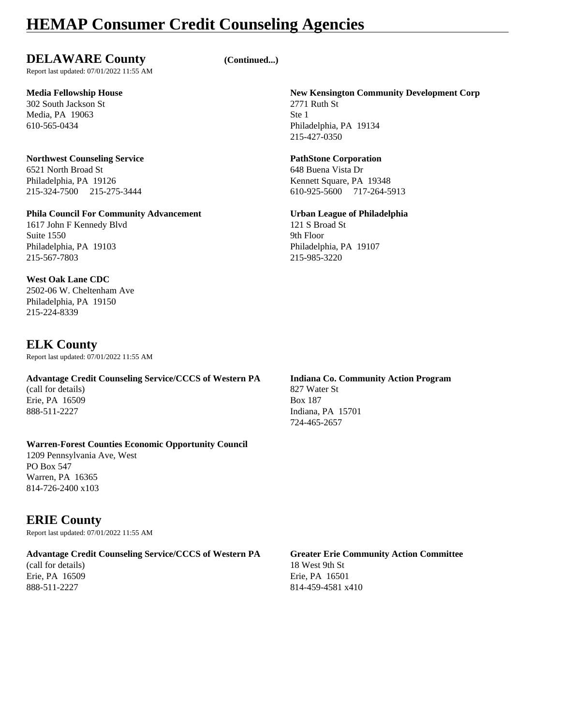### **DELAWARE County (Continued...)**

Report last updated: 07/01/2022 11:55 AM

302 South Jackson St 2771 Ruth St Media, PA 19063 Ste 1

### **Northwest Counseling Service PathStone Corporation** 6521 North Broad St 648 Buena Vista Dr

Philadelphia, PA 19126 Kennett Square, PA 19348 215-324-7500 215-275-3444 610-925-5600 717-264-5913

### **Phila Council For Community Advancement Urban League of Philadelphia**

1617 John F Kennedy Blvd 121 S Broad St Suite 1550 9th Floor Philadelphia, PA 19103 Philadelphia, PA 19107 215-567-7803 215-985-3220

#### **West Oak Lane CDC**

2502-06 W. Cheltenham Ave Philadelphia, PA 19150 215-224-8339

### **ELK County**

Report last updated: 07/01/2022 11:55 AM

### **Advantage Credit Counseling Service/CCCS of Western PA Indiana Co. Community Action Program**

(call for details) 827 Water St Erie, PA 16509 Box 187

#### **Warren-Forest Counties Economic Opportunity Council**

1209 Pennsylvania Ave, West PO Box 547 Warren, PA 16365 814-726-2400 x103

### **ERIE County**

Report last updated: 07/01/2022 11:55 AM

#### **Advantage Credit Counseling Service/CCCS of Western PA Greater Erie Community Action Committee**

(call for details) 18 West 9th St

**Media Fellowship House New Kensington Community Development Corp** 610-565-0434 Philadelphia, PA 19134 215-427-0350

## 888-511-2227 **Indiana**, PA 15701 724-465-2657

## Erie, PA 16509 Erie, PA 16501 888-511-2227 814-459-4581 x410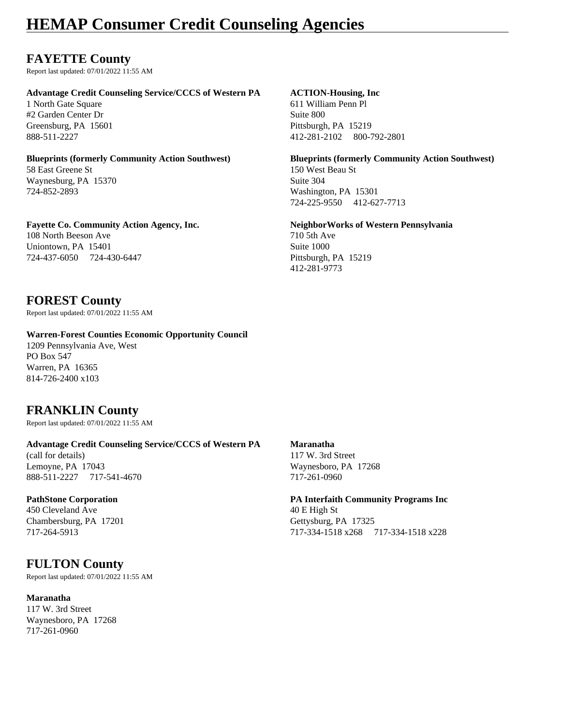### **FAYETTE County**

Report last updated: 07/01/2022 11:55 AM

#### **Advantage Credit Counseling Service/CCCS of Western PA ACTION-Housing, Inc**

1 North Gate Square 611 William Penn Pl #2 Garden Center Dr Suite 800 Greensburg, PA 15601 Pittsburgh, PA 15219

58 East Greene St 150 West Beau St Waynesburg, PA 15370 Suite 304 724-852-2893 Washington, PA 15301

#### **Fayette Co. Community Action Agency, Inc. NeighborWorks of Western Pennsylvania** 108 North Beeson Ave 710 5th Ave 710 5th Ave Uniontown, PA 15401 Suite 1000 724-437-6050 724-430-6447 Pittsburgh, PA 15219

### **FOREST County**

Report last updated: 07/01/2022 11:55 AM

#### **Warren-Forest Counties Economic Opportunity Council**

1209 Pennsylvania Ave, West PO Box 547 Warren, PA 16365 814-726-2400 x103

### **FRANKLIN County**

Report last updated: 07/01/2022 11:55 AM

#### **Advantage Credit Counseling Service/CCCS of Western PA Maranatha**

(call for details) 117 W. 3rd Street Lemoyne, PA 17043 Waynesboro, PA 17268 888-511-2227 717-541-4670 717-261-0960

450 Cleveland Ave 40 E High St Chambersburg, PA 17201 Gettysburg, PA 17325

### **FULTON County**

Report last updated: 07/01/2022 11:55 AM

#### **Maranatha**

117 W. 3rd Street Waynesboro, PA 17268 717-261-0960

888-511-2227 412-281-2102 800-792-2801

**Blueprints (formerly Community Action Southwest) Blueprints (formerly Community Action Southwest)** 724-225-9550 412-627-7713

412-281-9773

### **PathStone Corporation PA Interfaith Community Programs Inc**

717-264-5913 717-334-1518 x268 717-334-1518 x228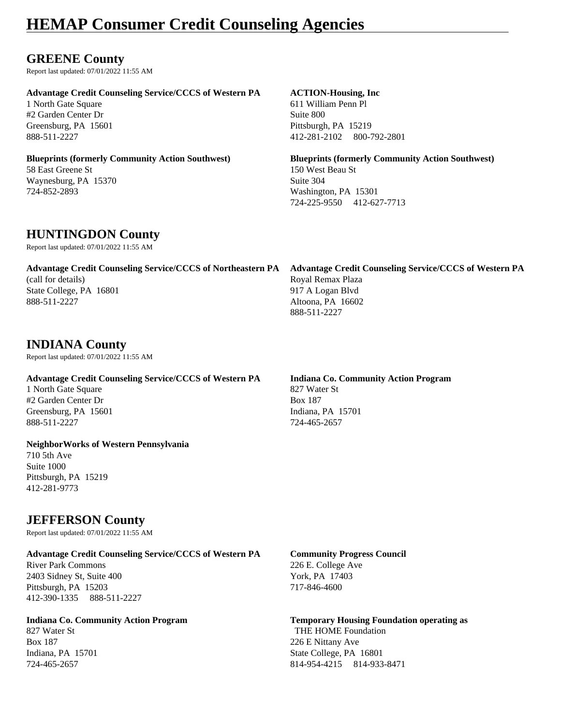### **GREENE County**

Report last updated: 07/01/2022 11:55 AM

#### **Advantage Credit Counseling Service/CCCS of Western PA ACTION-Housing, Inc**

1 North Gate Square 611 William Penn Pl #2 Garden Center Dr Suite 800 Greensburg, PA 15601 Pittsburgh, PA 15219

## 58 East Greene St 150 West Beau St

Waynesburg, PA 15370 Suite 304 724-852-2893 Washington, PA 15301

888-511-2227 412-281-2102 800-792-2801

**Blueprints (formerly Community Action Southwest) Blueprints (formerly Community Action Southwest)** 724-225-9550 412-627-7713

### **HUNTINGDON County**

Report last updated: 07/01/2022 11:55 AM

| Advantage Credit Counseling Service/CCCS of Northeastern PA | Advantage Credit Counseling Service/CCCS of Western PA |
|-------------------------------------------------------------|--------------------------------------------------------|
| (call for details)                                          | Royal Remax Plaza                                      |
| State College, PA 16801                                     | 917 A Logan Blyd                                       |
| 888-511-2227                                                | Altoona, PA 16602                                      |
|                                                             | 888-511-2227                                           |

### **INDIANA County**

Report last updated: 07/01/2022 11:55 AM

### **Advantage Credit Counseling Service/CCCS of Western PA Indiana Co. Community Action Program**

1 North Gate Square 827 Water St #2 Garden Center Dr Box 187 Greensburg, PA 15601 Indiana, PA 15701 888-511-2227 724-465-2657

#### **NeighborWorks of Western Pennsylvania**

710 5th Ave Suite 1000 Pittsburgh, PA 15219 412-281-9773

### **JEFFERSON County**

Report last updated: 07/01/2022 11:55 AM

#### **Advantage Credit Counseling Service/CCCS of Western PA Community Progress Council**

River Park Commons<br>
226 E. College Ave<br>
2403 Sidney St, Suite 400<br>
226 E. College Ave<br>
226 E. College Ave<br>
226 E. College Ave 2403 Sidney St, Suite 400 Pittsburgh, PA 15203 717-846-4600 412-390-1335 888-511-2227

Box 187 226 E Nittany Ave

### **Indiana Co. Community Action Program Temporary Housing Foundation operating as** 827 Water St **THE HOME Foundation** Indiana, PA 15701 State College, PA 16801 724-465-2657 814-954-4215 814-933-8471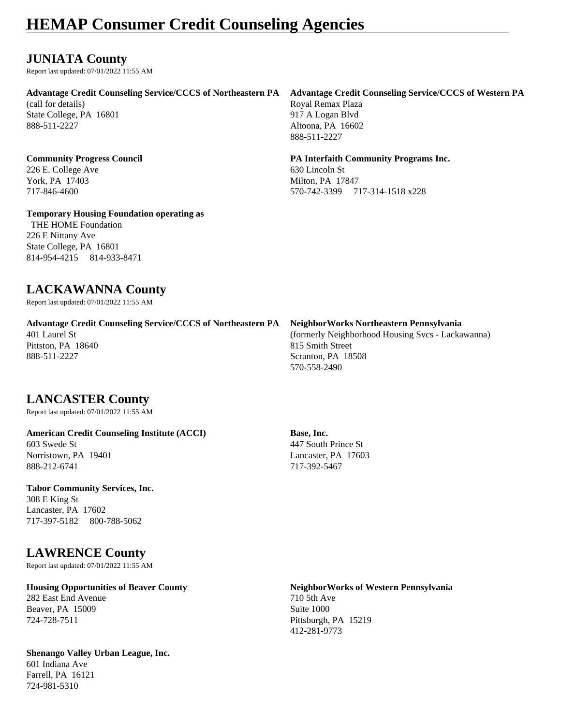### **JUNIATA County**

Report last updated: 07/01/2022 11:55 AM

#### **Advantage Credit Counseling Service/CCCS of Northeastern PA Advantage Credit Counseling Service/CCCS of Western PA**

(call for details) Royal Remax Plaza State College, PA 16801 917 A Logan Blvd 888-511-2227 Altoona, PA 16602

226 E. College Ave 630 Lincoln St

#### **Temporary Housing Foundation operating as**

 THE HOME Foundation 226 E Nittany Ave State College, PA 16801 814-954-4215 814-933-8471

888-511-2227

#### **Community Progress Council PA Interfaith Community Programs Inc.**

York, PA 17403 Milton, PA 17847 717-846-4600 570-742-3399 717-314-1518 x228

### **LACKAWANNA County**

Report last updated: 07/01/2022 11:55 AM

| <b>Advantage Credit Counseling Service/CCCS of Northeastern PA</b> | Neighbor Works Northeastern Pennsylvania          |
|--------------------------------------------------------------------|---------------------------------------------------|
| 401 Laurel St                                                      | (formerly Neighborhood Housing Svcs - Lackawanna) |
| Pittston, PA 18640                                                 | 815 Smith Street                                  |
| 888-511-2227                                                       | Scranton, PA 18508                                |
|                                                                    | 570-558-2490                                      |

### **LANCASTER County**

Report last updated: 07/01/2022 11:55 AM

#### **American Credit Counseling Institute (ACCI) Base, Inc.** 603 Swede St 447 South Prince St Norristown, PA 19401 Lancaster, PA 17603

888-212-6741 717-392-5467

#### **Tabor Community Services, Inc.**

308 E King St Lancaster, PA 17602 717-397-5182 800-788-5062

### **LAWRENCE County**

Report last updated: 07/01/2022 11:55 AM

#### **Housing Opportunities of Beaver County NeighborWorks of Western Pennsylvania** 282 East End Avenue 710 5th Ave

Beaver, PA 15009 Suite 1000 724-728-7511 Pittsburgh, PA 15219

#### **Shenango Valley Urban League, Inc.**

601 Indiana Ave Farrell, PA 16121 724-981-5310

412-281-9773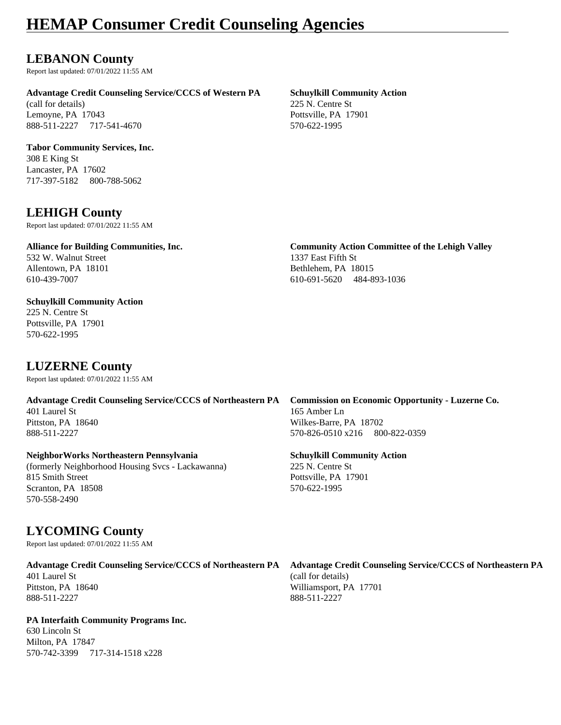### **LEBANON County**

Report last updated: 07/01/2022 11:55 AM

#### **Advantage Credit Counseling Service/CCCS of Western PA Schuylkill Community Action**

(call for details) 225 N. Centre St Lemoyne, PA 17043 Pottsville, PA 17901 888-511-2227 717-541-4670 570-622-1995

#### **Tabor Community Services, Inc.**

308 E King St Lancaster, PA 17602 717-397-5182 800-788-5062

### **LEHIGH County**

Report last updated: 07/01/2022 11:55 AM

#### **Alliance for Building Communities, Inc. Community Action Committee of the Lehigh Valley** 532 W. Walnut Street 1337 East Fifth St Allentown, PA 18101 Bethlehem, PA 18015 610-439-7007 610-691-5620 484-893-1036

### **Schuylkill Community Action**

225 N. Centre St Pottsville, PA 17901 570-622-1995

### **LUZERNE County**

Report last updated: 07/01/2022 11:55 AM

401 Laurel St 165 Amber Ln Pittston, PA 18640 Wilkes-Barre, PA 18702 888-511-2227 570-826-0510 x216 800-822-0359

#### **NeighborWorks Northeastern Pennsylvania Schuylkill Community Action**

(formerly Neighborhood Housing Svcs - Lackawanna) 225 N. Centre St 815 Smith Street Pottsville, PA 17901 Scranton, PA 18508 570-622-1995 570-558-2490

### **LYCOMING County**

Report last updated: 07/01/2022 11:55 AM

888-511-2227 888-511-2227

#### **PA Interfaith Community Programs Inc.**

630 Lincoln St Milton, PA 17847 570-742-3399 717-314-1518 x228

# **Advantage Credit Counseling Service/CCCS of Northeastern PA Commission on Economic Opportunity - Luzerne Co.**

**Advantage Credit Counseling Service/CCCS of Northeastern PA Advantage Credit Counseling Service/CCCS of Northeastern PA** Pittston, PA 18640 Williamsport, PA 17701

401 Laurel St (call for details)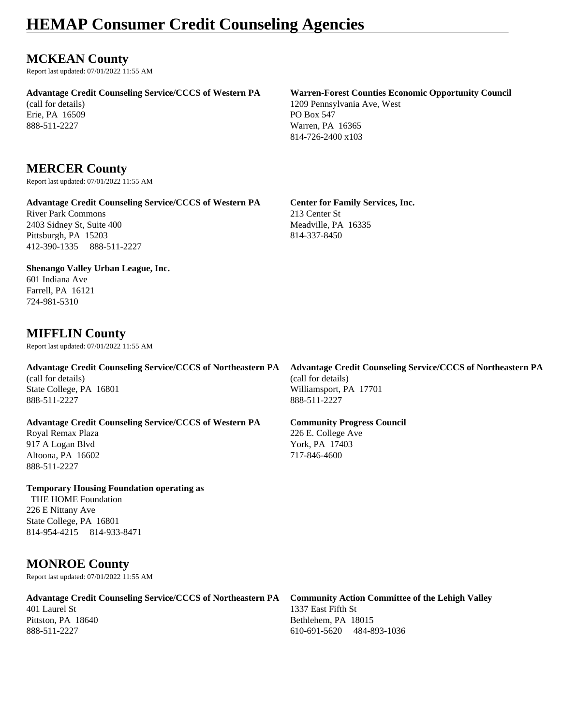### **MCKEAN County**

Report last updated: 07/01/2022 11:55 AM

#### **Advantage Credit Counseling Service/CCCS of Western PA Warren-Forest Counties Economic Opportunity Council**

(call for details) 1209 Pennsylvania Ave, West Erie, PA 16509 PO Box 547

### **MERCER County**

Report last updated: 07/01/2022 11:55 AM

#### **Advantage Credit Counseling Service/CCCS of Western PA Center for Family Services, Inc.**

River Park Commons 213 Center St 2403 Sidney St, Suite 400 Meadville, PA 16335 Pittsburgh, PA 15203 814-337-8450 412-390-1335 888-511-2227

#### **Shenango Valley Urban League, Inc.**

601 Indiana Ave Farrell, PA 16121 724-981-5310

### **MIFFLIN County**

Report last updated: 07/01/2022 11:55 AM

(call for details) (call for details) State College, PA 16801 Williamsport, PA 17701 888-511-2227 888-511-2227

### **Advantage Credit Counseling Service/CCCS of Western PA Community Progress Council**

Royal Remax Plaza 226 E. College Ave 917 A Logan Blvd York, PA 17403 Altoona, PA 16602 717-846-4600 888-511-2227

**Temporary Housing Foundation operating as** THE HOME Foundation

226 E Nittany Ave State College, PA 16801 814-954-4215 814-933-8471

### **MONROE County**

Report last updated: 07/01/2022 11:55 AM

#### **Advantage Credit Counseling Service/CCCS of Northeastern PA Community Action Committee of the Lehigh Valley** 401 Laurel St 1337 East Fifth St Pittston, PA 18640 Bethlehem, PA 18015

**Advantage Credit Counseling Service/CCCS of Northeastern PA Advantage Credit Counseling Service/CCCS of Northeastern PA**

888-511-2227 610-691-5620 484-893-1036

888-511-2227 Warren, PA 16365 814-726-2400 x103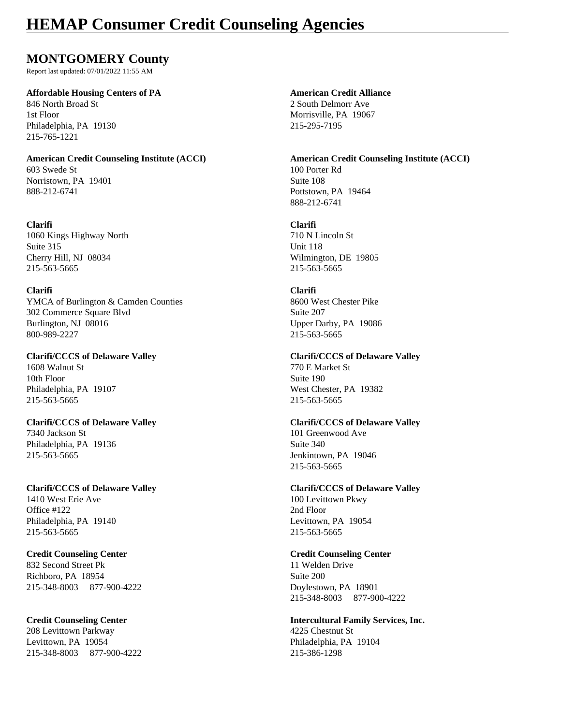### **MONTGOMERY County**

Report last updated: 07/01/2022 11:55 AM

#### **Affordable Housing Centers of PA American Credit Alliance**

846 North Broad St 2 South Delmorr Ave 1st Floor Morrisville, PA 19067 Philadelphia, PA 19130 215-295-7195 215-765-1221

603 Swede St 100 Porter Rd Norristown, PA 19401 Suite 108 888-212-6741 Pottstown, PA 19464

#### **Clarifi Clarifi**

1060 Kings Highway North 710 N Lincoln St Suite 315 Unit 118 Cherry Hill, NJ 08034 Wilmington, DE 19805 215-563-5665 215-563-5665

#### **Clarifi Clarifi**

YMCA of Burlington & Camden Counties 8600 West Chester Pike 302 Commerce Square Blvd Suite 207 Burlington, NJ 08016 Upper Darby, PA 19086 800-989-2227 215-563-5665

1608 Walnut St 770 E Market St 10th Floor Suite 190 Philadelphia, PA 19107 West Chester, PA 19382 215-563-5665 215-563-5665

7340 Jackson St 101 Greenwood Ave Philadelphia, PA 19136 Suite 340 215-563-5665 Jenkintown, PA 19046

#### **Clarifi/CCCS of Delaware Valley Clarifi/CCCS of Delaware Valley** 1410 West Erie Ave 100 Levittown Pkwy Office #122 2nd Floor Philadelphia, PA 19140 Levittown, PA 19054 215-563-5665 215-563-5665

#### **Credit Counseling Center Credit Counseling Center**

832 Second Street Pk 11 Welden Drive Richboro, PA 18954 Suite 200 215-348-8003 877-900-4222 Doylestown, PA 18901

208 Levittown Parkway 4225 Chestnut St Levittown, PA 19054 **Philadelphia**, PA 19104 215-348-8003 877-900-4222 215-386-1298

**American Credit Counseling Institute (ACCI) American Credit Counseling Institute (ACCI)** 888-212-6741

#### **Clarifi/CCCS of Delaware Valley Clarifi/CCCS of Delaware Valley**

#### **Clarifi/CCCS of Delaware Valley Clarifi/CCCS of Delaware Valley**

215-563-5665

215-348-8003 877-900-4222

## **Credit Counseling Center Intercultural Family Services, Inc.**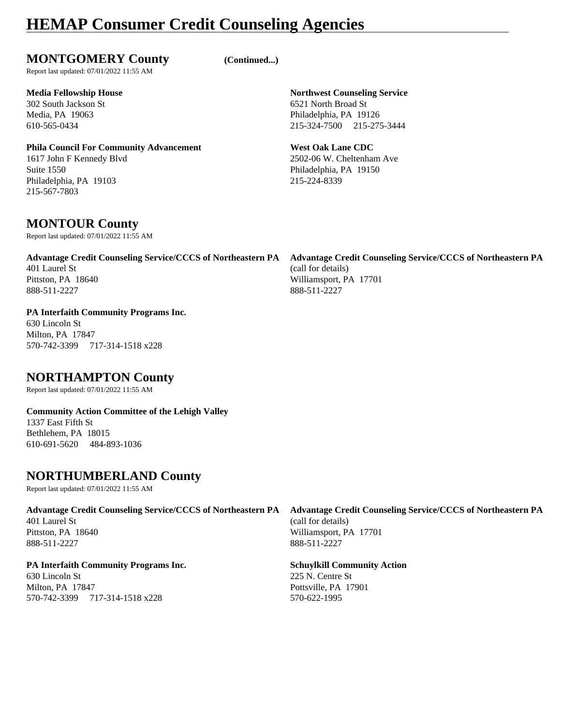### **MONTGOMERY County (Continued...)**

Report last updated: 07/01/2022 11:55 AM

302 South Jackson St 6521 North Broad St

#### **Phila Council For Community Advancement West Oak Lane CDC**

1617 John F Kennedy Blvd 2502-06 W. Cheltenham Ave Suite 1550 Philadelphia, PA 19150 Philadelphia, PA 19103 215-224-8339 215-567-7803

### **MONTOUR County**

Report last updated: 07/01/2022 11:55 AM

### **Advantage Credit Counseling Service/CCCS of Northeastern PA Advantage Credit Counseling Service/CCCS of Northeastern PA** 401 Laurel St (call for details) Pittston, PA 18640 Williamsport, PA 17701 888-511-2227 888-511-2227

#### **PA Interfaith Community Programs Inc.** 630 Lincoln St Milton, PA 17847

570-742-3399 717-314-1518 x228

### **NORTHAMPTON County**

Report last updated: 07/01/2022 11:55 AM

#### **Community Action Committee of the Lehigh Valley** 1337 East Fifth St Bethlehem, PA 18015

610-691-5620 484-893-1036

### **NORTHUMBERLAND County**

Report last updated: 07/01/2022 11:55 AM

#### **Advantage Credit Counseling Service/CCCS of Northeastern PA Advantage Credit Counseling Service/CCCS of Northeastern PA** 401 Laurel St (call for details)

888-511-2227 888-511-2227

### **PA Interfaith Community Programs Inc. Schuylkill Community Action**

630 Lincoln St 225 N. Centre St Milton, PA 17847 Pottsville, PA 17901 570-742-3399 717-314-1518 x228 570-622-1995

Pittston, PA 18640 Williamsport, PA 17701

**Media Fellowship House Northwest Counseling Service** Media, PA 19063 Philadelphia, PA 19126 610-565-0434 215-324-7500 215-275-3444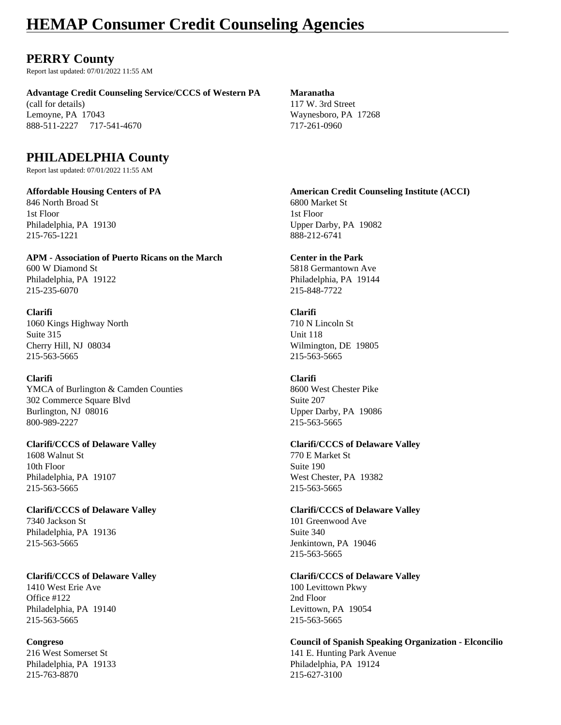### **PERRY County**

Report last updated: 07/01/2022 11:55 AM

**Advantage Credit Counseling Service/CCCS of Western PA Maranatha**

(call for details) 117 W. 3rd Street Lemoyne, PA 17043 Waynesboro, PA 17268 888-511-2227 717-541-4670 717-261-0960

### **PHILADELPHIA County**

Report last updated: 07/01/2022 11:55 AM

846 North Broad St 6800 Market St 1st Floor 1st Floor 215-765-1221 888-212-6741

**APM - Association of Puerto Ricans on the March Center in the Park** 600 W Diamond St 5818 Germantown Ave Philadelphia, PA 19122 Philadelphia, PA 19144 215-235-6070 215-848-7722

**Clarifi Clarifi** 1060 Kings Highway North 710 N Lincoln St Suite 315 Unit 118 Cherry Hill, NJ 08034 Wilmington, DE 19805 215-563-5665 215-563-5665

#### **Clarifi Clarifi**

YMCA of Burlington & Camden Counties 8600 West Chester Pike 302 Commerce Square Blvd Suite 207 Burlington, NJ 08016 Upper Darby, PA 19086 800-989-2227 215-563-5665

1608 Walnut St 770 E Market St 10th Floor Suite 190 Philadelphia, PA 19107 West Chester, PA 19382 215-563-5665 215-563-5665

7340 Jackson St 101 Greenwood Ave Philadelphia, PA 19136 Suite 340 215-563-5665 Jenkintown, PA 19046

1410 West Erie Ave 100 Levittown Pkwy Office #122 2nd Floor Philadelphia, PA 19140 Levittown, PA 19054 215-563-5665 215-563-5665

215-763-8870 215-627-3100

**Affordable Housing Centers of PA American Credit Counseling Institute (ACCI)** Philadelphia, PA 19130 Upper Darby, PA 19082

#### **Clarifi/CCCS of Delaware Valley Clarifi/CCCS of Delaware Valley**

#### **Clarifi/CCCS of Delaware Valley Clarifi/CCCS of Delaware Valley**

215-563-5665

#### **Clarifi/CCCS of Delaware Valley Clarifi/CCCS of Delaware Valley**

**Congreso Council of Spanish Speaking Organization - Elconcilio** 216 West Somerset St 141 E. Hunting Park Avenue Philadelphia, PA 19133 Philadelphia, PA 19124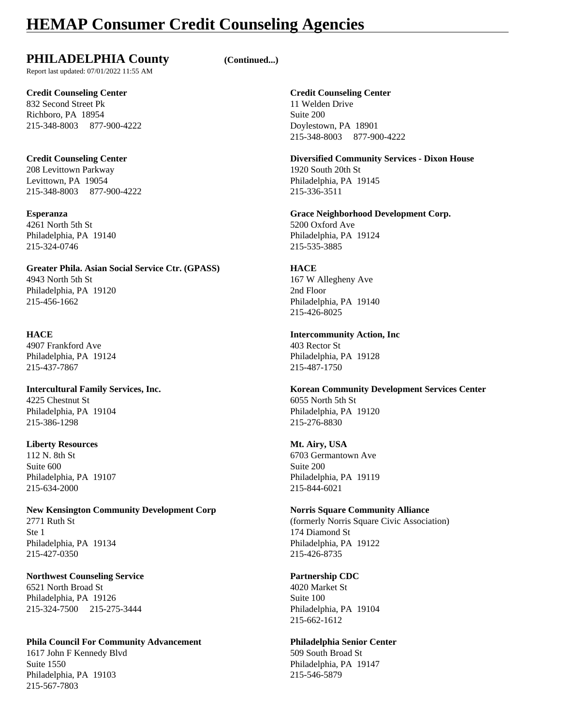### **PHILADELPHIA County (Continued...)**

Report last updated: 07/01/2022 11:55 AM

832 Second Street Pk 11 Welden Drive Richboro, PA 18954 Suite 200 215-348-8003 877-900-4222 Doylestown, PA 18901

208 Levittown Parkway 1920 South 20th St Levittown, PA 19054 Philadelphia, PA 19145 215-348-8003 877-900-4222 215-336-3511

4261 North 5th St 5200 Oxford Ave 215-324-0746 215-535-3885

**Greater Phila. Asian Social Service Ctr. (GPASS) HACE** 4943 North 5th St 167 W Allegheny Ave Philadelphia, PA 19120 2nd Floor 215-456-1662 Philadelphia, PA 19140

4907 Frankford Ave 403 Rector St Philadelphia, PA 19124 Philadelphia, PA 19128 215-437-7867 215-487-1750

4225 Chestnut St 6055 North 5th St Philadelphia, PA 19104 Philadelphia, PA 19120 215-386-1298 215-276-8830

#### **Liberty Resources Mt. Airy, USA**

Suite 600 Suite 200 215-634-2000 215-844-6021

## **New Kensington Community Development Corp Norris Square Community Alliance**

Ste 1 174 Diamond St Philadelphia, PA 19134 Philadelphia, PA 19122 215-427-0350 215-426-8735

#### **Northwest Counseling Service <b>Partnership CDC Partnership CDC** 6521 North Broad St 4020 Market St

Philadelphia, PA 19126 Suite 100 215-324-7500 215-275-3444 Philadelphia, PA 19104

### **Phila Council For Community Advancement Philadelphia Senior Center**

1617 John F Kennedy Blvd 509 South Broad St Suite 1550 Philadelphia, PA 19147 Philadelphia, PA 19103 215-546-5879 215-567-7803

#### **Credit Counseling Center Credit Counseling Center**

215-348-8003 877-900-4222

**Credit Counseling Center Diversified Community Services - Dixon House**

**Esperanza Grace Neighborhood Development Corp.** Philadelphia, PA 19140 Philadelphia, PA 19124

215-426-8025

## **HACE Intercommunity Action, Inc**

**Intercultural Family Services, Inc. Korean Community Development Services Center**

112 N. 8th St 6703 Germantown Ave Philadelphia, PA 19107 Philadelphia, PA 19119

2771 Ruth St (formerly Norris Square Civic Association)

215-662-1612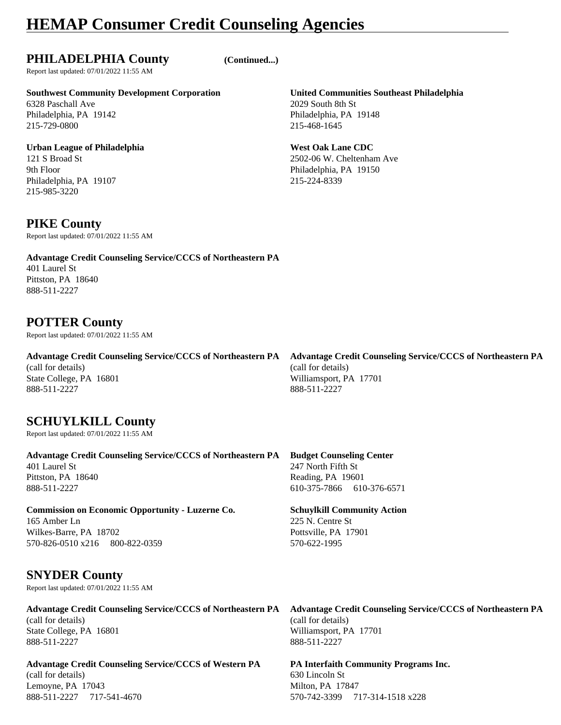### **PHILADELPHIA County (Continued...)**

Report last updated: 07/01/2022 11:55 AM

#### **Southwest Community Development Corporation United Communities Southeast Philadelphia**

6328 Paschall Ave 2029 South 8th St Philadelphia, PA 19142 Philadelphia, PA 19148 215-729-0800 215-468-1645

#### **Urban League of Philadelphia** *West Oak Lane CDC*

9th Floor Philadelphia, PA 19150 Philadelphia, PA 19107 215-224-8339 215-985-3220

### **PIKE County**

Report last updated: 07/01/2022 11:55 AM

**Advantage Credit Counseling Service/CCCS of Northeastern PA** 401 Laurel St Pittston, PA 18640 888-511-2227

### **POTTER County**

Report last updated: 07/01/2022 11:55 AM

(call for details) (call for details) State College, PA 16801 Williamsport, PA 17701 888-511-2227 888-511-2227

### **SCHUYLKILL County**

Report last updated: 07/01/2022 11:55 AM

**Advantage Credit Counseling Service/CCCS of Northeastern PA Budget Counseling Center** 401 Laurel St 247 North Fifth St Pittston, PA 18640 Reading, PA 19601

888-511-2227 610-375-7866 610-376-6571

**Commission on Economic Opportunity - Luzerne Co. Schuylkill Community Action** 165 Amber Ln 225 N. Centre St Wilkes-Barre, PA 18702 2003 2004 17901 570-826-0510 x216 800-822-0359 570-622-1995

### **SNYDER County**

Report last updated: 07/01/2022 11:55 AM

(call for details) (call for details) State College, PA 16801 Williamsport, PA 17701 888-511-2227 888-511-2227

**Advantage Credit Counseling Service/CCCS of Western PA PA Interfaith Community Programs Inc.** (call for details) 630 Lincoln St Lemoyne, PA 17043 Milton, PA 17847 888-511-2227 717-541-4670 570-742-3399 717-314-1518 x228

121 S Broad St 2502-06 W. Cheltenham Ave

**Advantage Credit Counseling Service/CCCS of Northeastern PA Advantage Credit Counseling Service/CCCS of Northeastern PA**

**Advantage Credit Counseling Service/CCCS of Northeastern PA Advantage Credit Counseling Service/CCCS of Northeastern PA**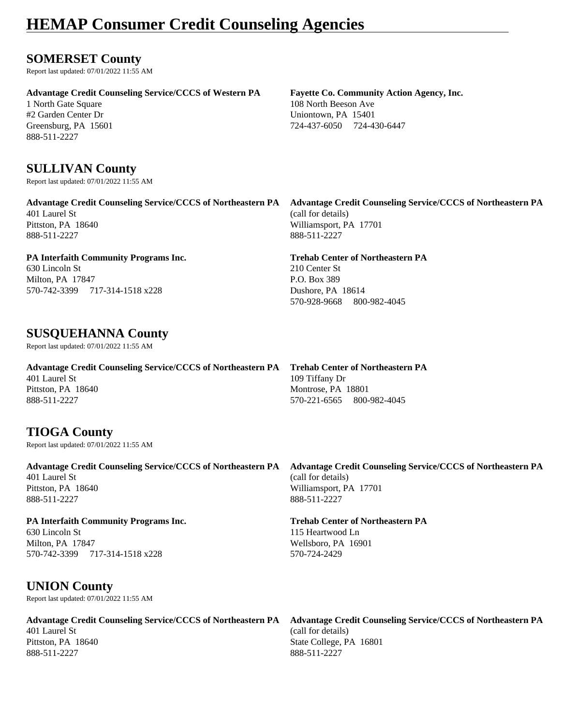### **SOMERSET County**

Report last updated: 07/01/2022 11:55 AM

**Advantage Credit Counseling Service/CCCS of Western PA Fayette Co. Community Action Agency, Inc.**

#2 Garden Center Dr Uniontown, PA 15401 888-511-2227

### **SULLIVAN County**

Report last updated: 07/01/2022 11:55 AM

401 Laurel St (call for details) Pittston, PA 18640 Williamsport, PA 17701 888-511-2227 888-511-2227

#### **PA Interfaith Community Programs Inc. Trehab Center of Northeastern PA**

630 Lincoln St 210 Center St Milton, PA 17847 **P.O.** Box 389 570-742-3399 717-314-1518 x228 Dushore, PA 18614

### **SUSQUEHANNA County**

Report last updated: 07/01/2022 11:55 AM

**Advantage Credit Counseling Service/CCCS of Northeastern PA Trehab Center of Northeastern PA** 401 Laurel St 109 Tiffany Dr Pittston, PA 18640 Montrose, PA 18801 888-511-2227 570-221-6565 800-982-4045

### **TIOGA County**

Report last updated: 07/01/2022 11:55 AM

**Advantage Credit Counseling Service/CCCS of Northeastern PA Advantage Credit Counseling Service/CCCS of Northeastern PA** 401 Laurel St (call for details) Pittston, PA 18640 Williamsport, PA 17701 888-511-2227 888-511-2227

#### **PA Interfaith Community Programs Inc. Trehab Center of Northeastern PA**

630 Lincoln St 115 Heartwood Ln Milton, PA 17847 Wellsboro, PA 16901 570-742-3399 717-314-1518 x228 570-724-2429

### **UNION County**

Report last updated: 07/01/2022 11:55 AM

### **Advantage Credit Counseling Service/CCCS of Northeastern PA Advantage Credit Counseling Service/CCCS of Northeastern PA**

401 Laurel St (call for details) 888-511-2227 888-511-2227

1 North Gate Square 108 North Beeson Ave Greensburg, PA 15601 724-437-6050 724-437-6050 724-430-6447

**Advantage Credit Counseling Service/CCCS of Northeastern PA Advantage Credit Counseling Service/CCCS of Northeastern PA**

570-928-9668 800-982-4045

Pittston, PA 18640 State College, PA 16801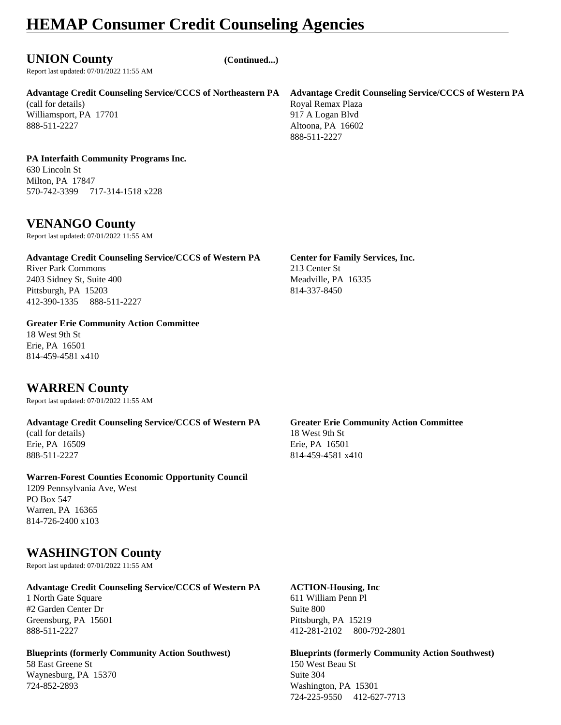### **UNION County (Continued...)**

Report last updated: 07/01/2022 11:55 AM

**Advantage Credit Counseling Service/CCCS of Northeastern PA Advantage Credit Counseling Service/CCCS of Western PA**

(call for details) Royal Remax Plaza Williamsport, PA 17701 917 A Logan Blvd 888-511-2227 Altoona, PA 16602

# 888-511-2227

#### **PA Interfaith Community Programs Inc.** 630 Lincoln St

Milton, PA 17847 570-742-3399 717-314-1518 x228

### **VENANGO County**

Report last updated: 07/01/2022 11:55 AM

### **Advantage Credit Counseling Service/CCCS of Western PA Center for Family Services, Inc.**

River Park Commons 213 Center St 2403 Sidney St, Suite 400 Meadville, PA 16335 Pittsburgh, PA 15203 814-337-8450 412-390-1335 888-511-2227

**Greater Erie Community Action Committee** 18 West 9th St Erie, PA 16501

## **WARREN County**

814-459-4581 x410

Report last updated: 07/01/2022 11:55 AM

#### **Advantage Credit Counseling Service/CCCS of Western PA Greater Erie Community Action Committee**

(call for details) 18 West 9th St

#### **Warren-Forest Counties Economic Opportunity Council**

1209 Pennsylvania Ave, West PO Box 547 Warren, PA 16365 814-726-2400 x103

### **WASHINGTON County**

Report last updated: 07/01/2022 11:55 AM

#### **Advantage Credit Counseling Service/CCCS of Western PA ACTION-Housing, Inc**

1 North Gate Square 611 William Penn Pl #2 Garden Center Dr Suite 800 Greensburg, PA 15601 Pittsburgh, PA 15219

#### **Blueprints (formerly Community Action Southwest) Blueprints (formerly Community Action Southwest)**

58 East Greene St 150 West Beau St Waynesburg, PA 15370 Suite 304 724-852-2893 Washington, PA 15301

Erie, PA 16509 Erie, PA 16501 888-511-2227 814-459-4581 x410

888-511-2227 412-281-2102 800-792-2801

724-225-9550 412-627-7713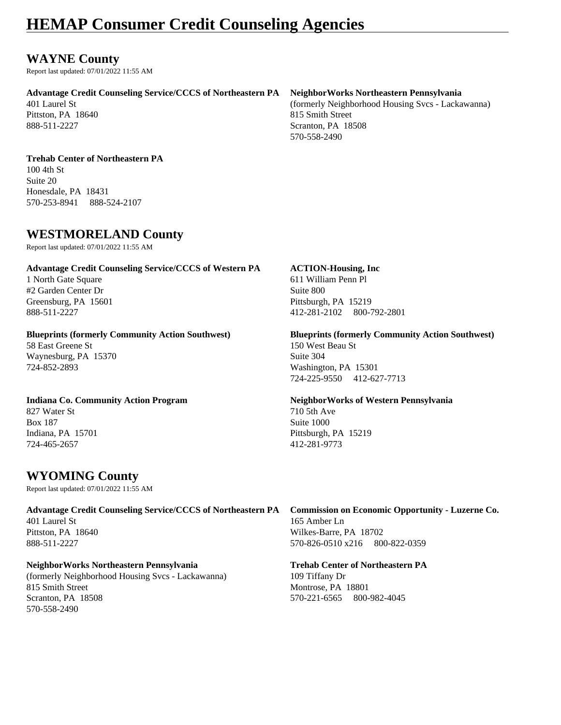### **WAYNE County**

Report last updated: 07/01/2022 11:55 AM

#### **Advantage Credit Counseling Service/CCCS of Northeastern PA NeighborWorks Northeastern Pennsylvania**

Pittston, PA 18640 815 Smith Street

401 Laurel St (formerly Neighborhood Housing Svcs - Lackawanna) 888-511-2227 Scranton, PA 18508 570-558-2490

#### **Trehab Center of Northeastern PA**

100 4th St Suite 20 Honesdale, PA 18431 570-253-8941 888-524-2107

### **WESTMORELAND County**

Report last updated: 07/01/2022 11:55 AM

#### **Advantage Credit Counseling Service/CCCS of Western PA ACTION-Housing, Inc**

#2 Garden Center Dr Suite 800 Greensburg, PA 15601 Pittsburgh, PA 15219

58 East Greene St 150 West Beau St Waynesburg, PA 15370 Suite 304 724-852-2893 Washington, PA 15301

827 Water St 710 5th Ave Box 187 Suite 1000 Indiana, PA 15701 Pittsburgh, PA 15219 724-465-2657 412-281-9773

### **WYOMING County**

Report last updated: 07/01/2022 11:55 AM

#### **Advantage Credit Counseling Service/CCCS of Northeastern PA Commission on Economic Opportunity - Luzerne Co.** 401 Laurel St 165 Amber Ln Pittston, PA 18640 Wilkes-Barre, PA 18702 888-511-2227 570-826-0510 x216 800-822-0359

#### **NeighborWorks Northeastern Pennsylvania Trehab Center of Northeastern PA** (formerly Neighborhood Housing Svcs - Lackawanna) 109 Tiffany Dr 815 Smith Street Montrose, PA 18801 Scranton, PA 18508 570-221-6565 800-982-4045 570-558-2490

1 North Gate Square 611 William Penn Pl 888-511-2227 412-281-2102 800-792-2801

## **Blueprints (formerly Community Action Southwest) Blueprints (formerly Community Action Southwest)** 724-225-9550 412-627-7713

# **Indiana Co. Community Action Program NeighborWorks of Western Pennsylvania**